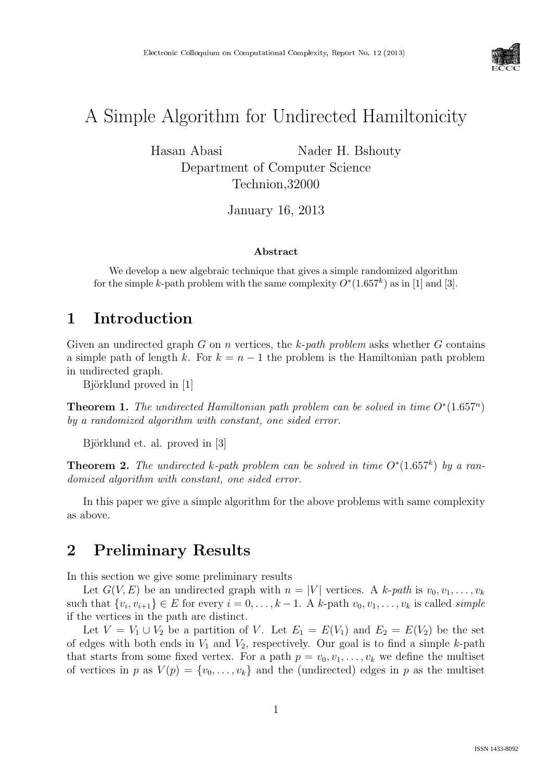

# A Simple Algorithm for Undirected Hamiltonicity

Hasan Abasi Nader H. Bshouty Department of Computer Science Technion,32000

January 16, 2013

#### Abstract

We develop a new algebraic technique that gives a simple randomized algorithm for the simple k-path problem with the same complexity  $O^*(1.657^k)$  as in [1] and [3].

#### 1 Introduction

Given an undirected graph G on n vertices, the k-path problem asks whether G contains a simple path of length k. For  $k = n - 1$  the problem is the Hamiltonian path problem in undirected graph.

Björklund proved in [1]

**Theorem 1.** The undirected Hamiltonian path problem can be solved in time  $O^*(1.657^n)$ by a randomized algorithm with constant, one sided error.

Björklund et. al. proved in [3]

**Theorem 2.** The undirected k-path problem can be solved in time  $O^*(1.657^k)$  by a randomized algorithm with constant, one sided error.

In this paper we give a simple algorithm for the above problems with same complexity as above.

### 2 Preliminary Results

In this section we give some preliminary results

Let  $G(V, E)$  be an undirected graph with  $n = |V|$  vertices. A k-path is  $v_0, v_1, \ldots, v_k$ such that  $\{v_i, v_{i+1}\}\in E$  for every  $i=0,\ldots,k-1$ . A k-path  $v_0, v_1,\ldots,v_k$  is called *simple* if the vertices in the path are distinct.

Let  $V = V_1 \cup V_2$  be a partition of V. Let  $E_1 = E(V_1)$  and  $E_2 = E(V_2)$  be the set of edges with both ends in  $V_1$  and  $V_2$ , respectively. Our goal is to find a simple k-path that starts from some fixed vertex. For a path  $p = v_0, v_1, \ldots, v_k$  we define the multiset of vertices in p as  $V(p) = \{v_0, \ldots, v_k\}$  and the (undirected) edges in p as the multiset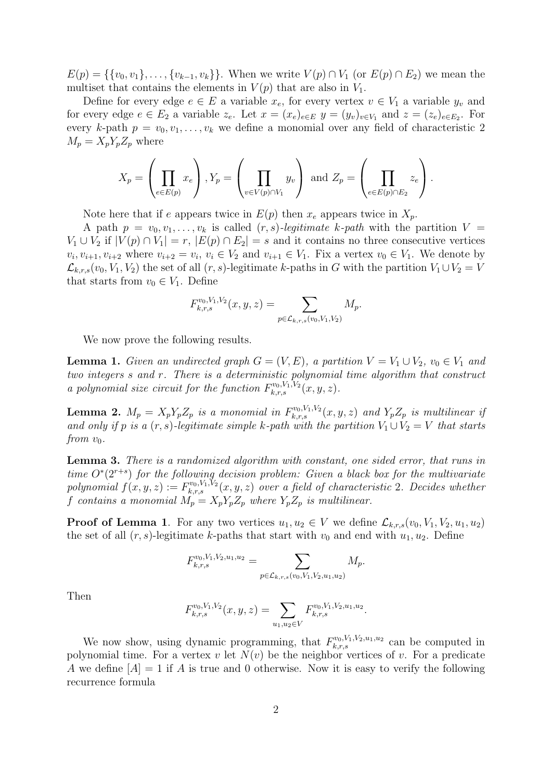$E(p) = \{\{v_0, v_1\}, \ldots, \{v_{k-1}, v_k\}\}\.$  When we write  $V(p) \cap V_1$  (or  $E(p) \cap E_2$ ) we mean the multiset that contains the elements in  $V(p)$  that are also in  $V_1$ .

Define for every edge  $e \in E$  a variable  $x_e$ , for every vertex  $v \in V_1$  a variable  $y_v$  and for every edge  $e \in E_2$  a variable  $z_e$ . Let  $x = (x_e)_{e \in E}$   $y = (y_v)_{v \in V_1}$  and  $z = (z_e)_{e \in E_2}$ . For every k-path  $p = v_0, v_1, \ldots, v_k$  we define a monomial over any field of characteristic 2  $M_p = X_p Y_p Z_p$  where

$$
X_p = \left(\prod_{e \in E(p)} x_e\right), Y_p = \left(\prod_{v \in V(p) \cap V_1} y_v\right) \text{ and } Z_p = \left(\prod_{e \in E(p) \cap E_2} z_e\right).
$$

Note here that if e appears twice in  $E(p)$  then  $x_e$  appears twice in  $X_p$ .

A path  $p = v_0, v_1, \ldots, v_k$  is called  $(r, s)$ -legitimate k-path with the partition  $V =$  $V_1 \cup V_2$  if  $|V(p) \cap V_1| = r$ ,  $|E(p) \cap E_2| = s$  and it contains no three consecutive vertices  $v_i, v_{i+1}, v_{i+2}$  where  $v_{i+2} = v_i, v_i \in V_2$  and  $v_{i+1} \in V_1$ . Fix a vertex  $v_0 \in V_1$ . We denote by  $\mathcal{L}_{k,r,s}(v_0, V_1, V_2)$  the set of all  $(r, s)$ -legitimate k-paths in G with the partition  $V_1 \cup V_2 = V$ that starts from  $v_0 \in V_1$ . Define

$$
F_{k,r,s}^{v_0,V_1,V_2}(x,y,z) = \sum_{p \in \mathcal{L}_{k,r,s}(v_0,V_1,V_2)} M_p.
$$

We now prove the following results.

**Lemma 1.** Given an undirected graph  $G = (V, E)$ , a partition  $V = V_1 \cup V_2$ ,  $v_0 \in V_1$  and two integers s and r. There is a deterministic polynomial time algorithm that construct a polynomial size circuit for the function  $F_{k,r,s}^{v_0,V_1,V_2}(x,y,z)$ .

**Lemma 2.**  $M_p = X_p Y_p Z_p$  is a monomial in  $F_{k,r,s}^{v_0,V_1,V_2}(x,y,z)$  and  $Y_p Z_p$  is multilinear if and only if p is a  $(r, s)$ -legitimate simple k-path with the partition  $V_1 \cup V_2 = V$  that starts from  $v_0$ .

Lemma 3. There is a randomized algorithm with constant, one sided error, that runs in time  $O<sup>*</sup>(2<sup>r+s</sup>)$  for the following decision problem: Given a black box for the multivariate polynomial  $f(x, y, z) := F_{k,r,s}^{v_0, V_1, V_2}(x, y, z)$  over a field of characteristic 2. Decides whether f contains a monomial  $M_p = X_p Y_p Z_p$  where  $Y_p Z_p$  is multilinear.

**Proof of Lemma 1.** For any two vertices  $u_1, u_2 \in V$  we define  $\mathcal{L}_{k,r,s}(v_0, V_1, V_2, u_1, u_2)$ the set of all  $(r, s)$ -legitimate k-paths that start with  $v_0$  and end with  $u_1, u_2$ . Define

$$
F_{k,r,s}^{v_0,V_1,V_2,u_1,u_2} = \sum_{p \in \mathcal{L}_{k,r,s}(v_0,V_1,V_2,u_1,u_2)} M_p.
$$

Then

$$
F_{k,r,s}^{v_0,V_1,V_2}(x,y,z) = \sum_{u_1,u_2 \in V} F_{k,r,s}^{v_0,V_1,V_2,u_1,u_2}.
$$

We now show, using dynamic programming, that  $F_{k,r,s}^{v_0,V_1,V_2,u_1,u_2}$  can be computed in polynomial time. For a vertex v let  $N(v)$  be the neighbor vertices of v. For a predicate A we define  $[A] = 1$  if A is true and 0 otherwise. Now it is easy to verify the following recurrence formula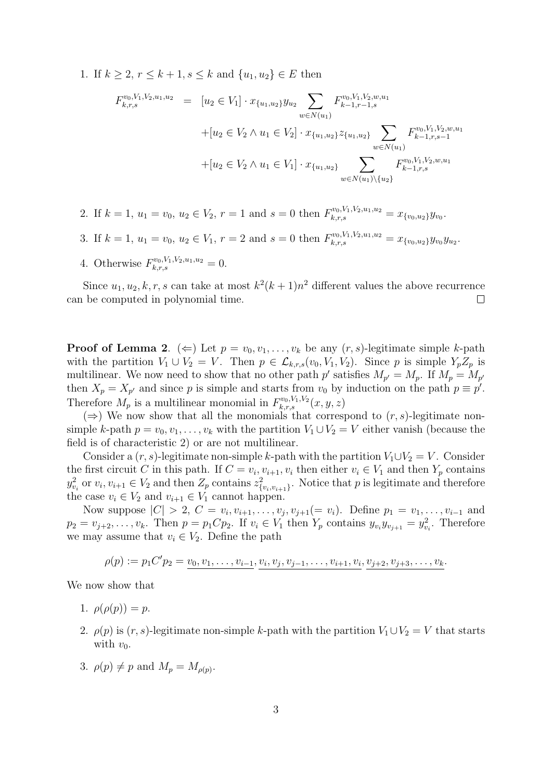1. If  $k \geq 2, r \leq k+1, s \leq k$  and  $\{u_1, u_2\} \in E$  then

$$
F_{k,r,s}^{v_0,V_1,V_2,u_1,u_2} = [u_2 \in V_1] \cdot x_{\{u_1,u_2\}} y_{u_2} \sum_{w \in N(u_1)} F_{k-1,r-1,s}^{v_0,V_1,V_2,w,u_1}
$$
  
+ 
$$
[u_2 \in V_2 \land u_1 \in V_2] \cdot x_{\{u_1,u_2\}} z_{\{u_1,u_2\}} \sum_{w \in N(u_1)} F_{k-1,r,s-1}^{v_0,V_1,V_2,w,u_1}
$$
  
+ 
$$
[u_2 \in V_2 \land u_1 \in V_1] \cdot x_{\{u_1,u_2\}} \sum_{w \in N(u_1) \setminus \{u_2\}} F_{k-1,r,s}^{v_0,V_1,V_2,w,u_1}
$$

- 2. If  $k = 1, u_1 = v_0, u_2 \in V_2, r = 1$  and  $s = 0$  then  $F_{k,r,s}^{v_0, V_1, V_2, u_1, u_2} = x_{\{v_0, u_2\}} y_{v_0}$ .
- 3. If  $k = 1, u_1 = v_0, u_2 \in V_1, r = 2$  and  $s = 0$  then  $F_{k,r,s}^{v_0, V_1, V_2, u_1, u_2} = x_{\{v_0, u_2\}} y_{v_0} y_{u_2}$ .
- 4. Otherwise  $F_{k,r,s}^{v_0,V_1,V_2,u_1,u_2}=0.$

Since  $u_1, u_2, k, r, s$  can take at most  $k^2(k+1)n^2$  different values the above recurrence can be computed in polynomial time.  $\Box$ 

**Proof of Lemma 2.** ( $\Leftarrow$ ) Let  $p = v_0, v_1, \ldots, v_k$  be any  $(r, s)$ -legitimate simple k-path with the partition  $V_1 \cup V_2 = V$ . Then  $p \in \mathcal{L}_{k,r,s}(v_0, V_1, V_2)$ . Since p is simple  $Y_p Z_p$  is multilinear. We now need to show that no other path p' satisfies  $M_{p'} = M_p$ . If  $M_p = M_{p'}$ then  $X_p = X_{p'}$  and since p is simple and starts from  $v_0$  by induction on the path  $p \equiv p'$ . Therefore  $M_p$  is a multilinear monomial in  $F_{k,r,s}^{v_0,V_1,V_2}(x,y,z)$ 

 $(\Rightarrow)$  We now show that all the monomials that correspond to  $(r, s)$ -legitimate nonsimple k-path  $p = v_0, v_1, \ldots, v_k$  with the partition  $V_1 \cup V_2 = V$  either vanish (because the field is of characteristic 2) or are not multilinear.

Consider a  $(r, s)$ -legitimate non-simple k-path with the partition  $V_1 \cup V_2 = V$ . Consider the first circuit C in this path. If  $C = v_i, v_{i+1}, v_i$  then either  $v_i \in V_1$  and then  $Y_p$  contains  $y_{v_i}^2$  or  $v_i, v_{i+1} \in V_2$  and then  $Z_p$  contains  $z_{\{v_i, v_{i+1}\}}^2$ . Notice that p is legitimate and therefore the case  $v_i \in V_2$  and  $v_{i+1} \in V_1$  cannot happen.

Now suppose  $|C| > 2$ ,  $C = v_i, v_{i+1}, \ldots, v_j, v_{j+1} (= v_i)$ . Define  $p_1 = v_1, \ldots, v_{i-1}$  and  $p_2 = v_{j+2}, \ldots, v_k$ . Then  $p = p_1 C p_2$ . If  $v_i \in V_1$  then  $Y_p$  contains  $y_{v_i} y_{v_{j+1}} = y_{v_i}^2$ . Therefore we may assume that  $v_i \in V_2$ . Define the path

$$
\rho(p) := p_1 C' p_2 = v_0, v_1, \dots, v_{i-1}, v_i, v_j, v_{j-1}, \dots, v_{i+1}, v_i, v_{j+2}, v_{j+3}, \dots, v_k.
$$

We now show that

- 1.  $\rho(\rho(p)) = p$ .
- 2.  $\rho(p)$  is  $(r, s)$ -legitimate non-simple k-path with the partition  $V_1 \cup V_2 = V$  that starts with  $v_0$ .
- 3.  $\rho(p) \neq p$  and  $M_p = M_{\rho(p)}$ .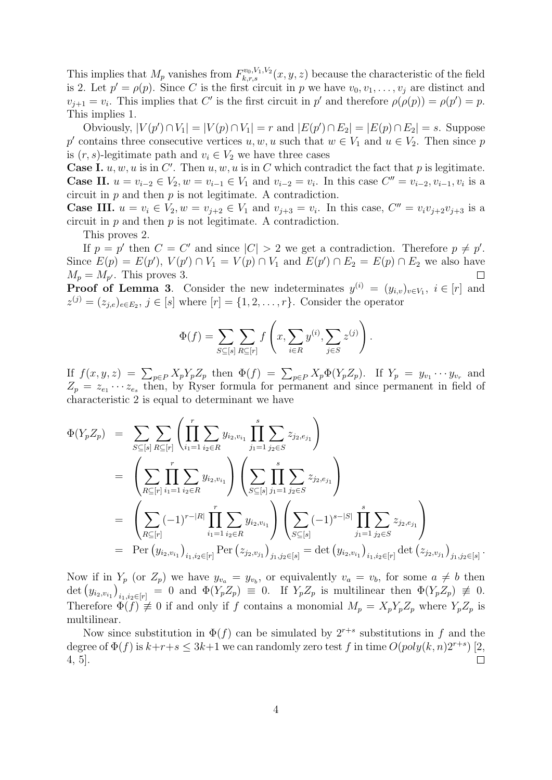This implies that  $M_p$  vanishes from  $F_{k,r,s}^{v_0,V_1,V_2}(x,y,z)$  because the characteristic of the field is 2. Let  $p' = \rho(p)$ . Since C is the first circuit in p we have  $v_0, v_1, \ldots, v_j$  are distinct and  $v_{j+1} = v_i$ . This implies that C' is the first circuit in p' and therefore  $\rho(\rho(p)) = \rho(p') = p$ . This implies 1.

Obviously,  $|V(p') \cap V_1|$  =  $|V(p) \cap V_1|$  = r and  $|E(p') \cap E_2|$  =  $|E(p) \cap E_2|$  = s. Suppose p' contains three consecutive vertices  $u, w, u$  such that  $w \in V_1$  and  $u \in V_2$ . Then since p is  $(r, s)$ -legitimate path and  $v_i \in V_2$  we have three cases

**Case I.**  $u, w, u$  is in  $C'$ . Then  $u, w, u$  is in C which contradict the fact that p is legitimate. **Case II.**  $u = v_{i-2} \in V_2$ ,  $w = v_{i-1} \in V_1$  and  $v_{i-2} = v_i$ . In this case  $C'' = v_{i-2}, v_{i-1}, v_i$  is a circuit in  $p$  and then  $p$  is not legitimate. A contradiction.

**Case III.**  $u = v_i \in V_2, w = v_{j+2} \in V_1$  and  $v_{j+3} = v_i$ . In this case,  $C'' = v_i v_{j+2} v_{j+3}$  is a circuit in  $p$  and then  $p$  is not legitimate. A contradiction.

This proves 2.

If  $p = p'$  then  $C = C'$  and since  $|C| > 2$  we get a contradiction. Therefore  $p \neq p'$ . Since  $E(p) = E(p')$ ,  $V(p') \cap V_1 = V(p) \cap V_1$  and  $E(p') \cap E_2 = E(p) \cap E_2$  we also have  $M_p = M_{p'}$ . This proves 3.  $\Box$ 

**Proof of Lemma 3**. Consider the new indeterminates  $y^{(i)} = (y_{i,v})_{v \in V_1}$ ,  $i \in [r]$  and  $z^{(j)} = (z_{j,e})_{e \in E_2}, j \in [s]$  where  $[r] = \{1, 2, \ldots, r\}$ . Consider the operator

$$
\Phi(f) = \sum_{S \subseteq [s]} \sum_{R \subseteq [r]} f\left(x, \sum_{i \in R} y^{(i)}, \sum_{j \in S} z^{(j)}\right).
$$

If  $f(x, y, z) = \sum_{p \in P} X_p Y_p Z_p$  then  $\Phi(f) = \sum_{p \in P} X_p \Phi(Y_p Z_p)$ . If  $Y_p = y_{v_1} \cdots y_{v_r}$  and  $Z_p = z_{e_1} \cdots z_{e_s}$  then, by Ryser formula for permanent and since permanent in field of characteristic 2 is equal to determinant we have

$$
\Phi(Y_p Z_p) = \sum_{S \subseteq [s]} \sum_{R \subseteq [r]} \left( \prod_{i_1=1}^r \sum_{i_2 \in R} y_{i_2, v_{i_1}} \prod_{j_1=1}^s \sum_{j_2 \in S} z_{j_2, e_{j_1}} \right)
$$
\n
$$
= \left( \sum_{R \subseteq [r]} \prod_{i_1=1}^r \sum_{i_2 \in R} y_{i_2, v_{i_1}} \right) \left( \sum_{S \subseteq [s]} \prod_{j_1=1}^s \sum_{j_2 \in S} z_{j_2, e_{j_1}} \right)
$$
\n
$$
= \left( \sum_{R \subseteq [r]} (-1)^{r-|R|} \prod_{i_1=1}^r \sum_{i_2 \in R} y_{i_2, v_{i_1}} \right) \left( \sum_{S \subseteq [s]} (-1)^{s-|S|} \prod_{j_1=1}^s \sum_{j_2 \in S} z_{j_2, e_{j_1}} \right)
$$
\n
$$
= \text{Per}(y_{i_2, v_{i_1}})_{i_1, i_2 \in [r]} \text{Per}(z_{j_2, v_{j_1}})_{j_1, j_2 \in [s]} = \det(y_{i_2, v_{i_1}})_{i_1, i_2 \in [r]} \det(z_{j_2, v_{j_1}})_{j_1, j_2 \in [s]}.
$$

Now if in  $Y_p$  (or  $Z_p$ ) we have  $y_{v_a} = y_{v_b}$ , or equivalently  $v_a = v_b$ , for some  $a \neq b$  then  $\det (y_{i_2,v_{i_1}})_{i_1,i_2\in [r]} = 0$  and  $\Phi(Y_p Z_p) \equiv 0$ . If  $Y_p Z_p$  is multilinear then  $\Phi(Y_p Z_p) \not\equiv 0$ . Therefore  $\Phi(f) \neq 0$  if and only if f contains a monomial  $M_p = X_p Y_p Z_p$  where  $Y_p Z_p$  is multilinear.

Now since substitution in  $\Phi(f)$  can be simulated by  $2^{r+s}$  substitutions in f and the degree of  $\Phi(f)$  is  $k+r+s \leq 3k+1$  we can randomly zero test f in time  $O(poly(k, n)2^{r+s})$  [2, 4, 5].  $\Box$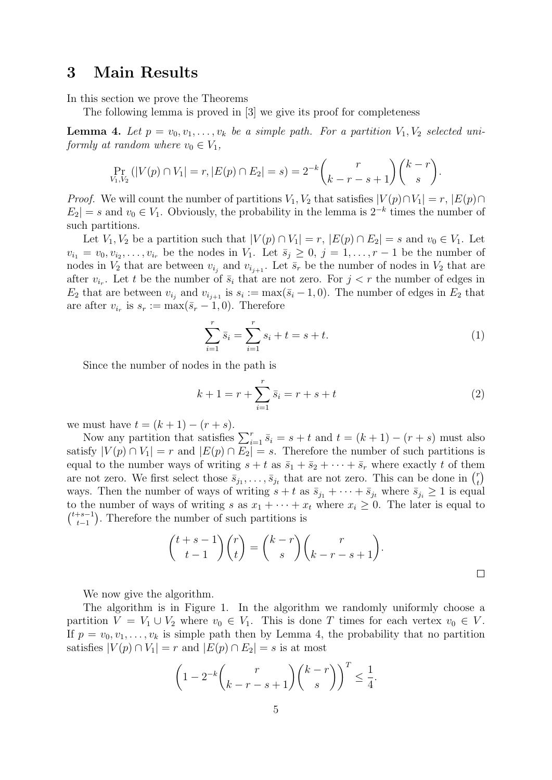## 3 Main Results

In this section we prove the Theorems

The following lemma is proved in [3] we give its proof for completeness

**Lemma 4.** Let  $p = v_0, v_1, \ldots, v_k$  be a simple path. For a partition  $V_1, V_2$  selected uniformly at random where  $v_0 \in V_1$ ,

$$
\Pr_{V_1, V_2} (|V(p) \cap V_1| = r, |E(p) \cap E_2| = s) = 2^{-k} {r \choose k - r - s + 1} {k - r \choose s}.
$$

*Proof.* We will count the number of partitions  $V_1, V_2$  that satisfies  $|V(p) \cap V_1| = r, |E(p) \cap V_2|$  $E_2| = s$  and  $v_0 \in V_1$ . Obviously, the probability in the lemma is  $2^{-k}$  times the number of such partitions.

Let  $V_1, V_2$  be a partition such that  $|V(p) \cap V_1| = r$ ,  $|E(p) \cap E_2| = s$  and  $v_0 \in V_1$ . Let  $v_{i_1} = v_0, v_{i_2}, \ldots, v_{i_r}$  be the nodes in  $V_1$ . Let  $\bar{s}_j \geq 0, j = 1, \ldots, r-1$  be the number of nodes in  $V_2$  that are between  $v_{i_j}$  and  $v_{i_{j+1}}$ . Let  $\bar{s}_r$  be the number of nodes in  $V_2$  that are after  $v_{i_r}$ . Let t be the number of  $\bar{s}_i$  that are not zero. For  $j < r$  the number of edges in  $E_2$  that are between  $v_{i_j}$  and  $v_{i_{j+1}}$  is  $s_i := \max(\bar{s}_i - 1, 0)$ . The number of edges in  $E_2$  that are after  $v_{i_r}$  is  $s_r := \max(\bar{s}_r - 1, 0)$ . Therefore

$$
\sum_{i=1}^{r} \bar{s}_i = \sum_{i=1}^{r} s_i + t = s + t.
$$
 (1)

Since the number of nodes in the path is

$$
k + 1 = r + \sum_{i=1}^{r} \bar{s}_i = r + s + t \tag{2}
$$

we must have  $t = (k + 1) - (r + s)$ .

Now any partition that satisfies  $\sum_{i=1}^r \bar{s}_i = s+t$  and  $t = (k+1) - (r+s)$  must also satisfy  $|V(p) \cap V_1| = r$  and  $|E(p) \cap E_2| = s$ . Therefore the number of such partitions is equal to the number ways of writing  $s + t$  as  $\bar{s}_1 + \bar{s}_2 + \cdots + \bar{s}_r$  where exactly t of them are not zero. We first select those  $\bar{s}_{j_1}, \ldots, \bar{s}_{j_t}$  that are not zero. This can be done in  $\binom{r}{t}$  $\binom{r}{t}$ ways. Then the number of ways of writing  $s + t$  as  $\bar{s}_{j_1} + \cdots + \bar{s}_{j_t}$  where  $\bar{s}_{j_i} \geq 1$  is equal to the number of ways of writing s as  $x_1 + \cdots + x_t$  where  $x_i \geq 0$ . The later is equal to  $\binom{t+s-1}{t-1}$  $\binom{+s-1}{t-1}$ . Therefore the number of such partitions is

$$
\binom{t+s-1}{t-1}\binom{r}{t} = \binom{k-r}{s}\binom{r}{k-r-s+1}.
$$

We now give the algorithm.

The algorithm is in Figure 1. In the algorithm we randomly uniformly choose a partition  $V = V_1 \cup V_2$  where  $v_0 \in V_1$ . This is done T times for each vertex  $v_0 \in V$ . If  $p = v_0, v_1, \ldots, v_k$  is simple path then by Lemma 4, the probability that no partition satisfies  $|V(p) \cap V_1| = r$  and  $|E(p) \cap E_2| = s$  is at most

$$
\left(1 - 2^{-k} \binom{r}{k-r-s+1} \binom{k-r}{s} \right)^T \le \frac{1}{4}.
$$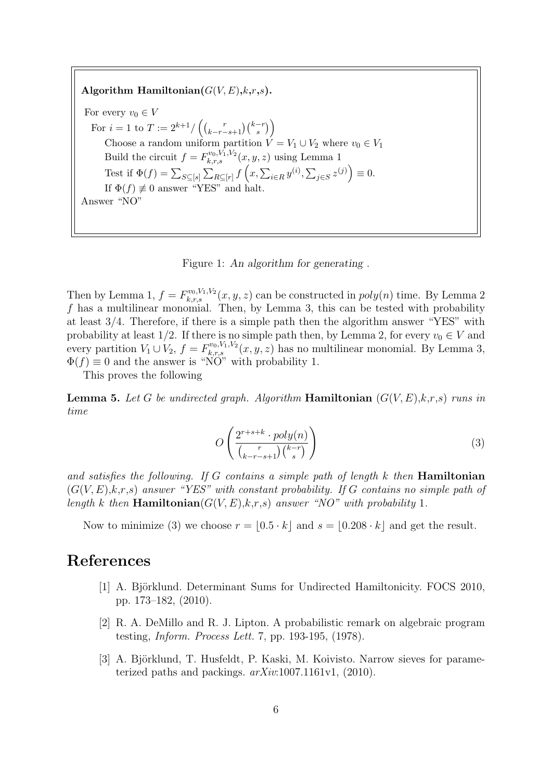Algorithm Hamiltonian( $G(V, E), k, r, s$ ). For every  $v_0 \in V$ For  $i = 1$  to  $T := 2^{k+1} / \left( \binom{r}{k-r-s+1} \binom{k-r}{s} \right)$ Choose a random uniform partition  $V = V_1 \cup V_2$  where  $v_0 \in V_1$ Build the circuit  $f = F_{k,r,s}^{v_0, V_1, V_2}(x, y, z)$  using Lemma 1 Test if  $\Phi(f) = \sum_{S \subseteq [s]} \sum_{R \subseteq [r]} f(x, \sum_{i \in R} y^{(i)}, \sum_{j \in S} z^{(j)}) \equiv 0.$ If  $\Phi(f) \neq 0$  answer "YES" and halt. Answer "NO"

Figure 1: An algorithm for generating .

Then by Lemma 1,  $f = F_{k,r,s}^{v_0,V_1,V_2}(x, y, z)$  can be constructed in  $poly(n)$  time. By Lemma 2  $f$  has a multilinear monomial. Then, by Lemma 3, this can be tested with probability at least 3/4. Therefore, if there is a simple path then the algorithm answer "YES" with probability at least 1/2. If there is no simple path then, by Lemma 2, for every  $v_0 \in V$  and every partition  $V_1 \cup V_2$ ,  $f = F_{k,r,s}^{v_0, V_1, V_2}(x, y, z)$  has no multilinear monomial. By Lemma 3,  $\Phi(f) \equiv 0$  and the answer is "NO" with probability 1.

This proves the following

**Lemma 5.** Let G be undirected graph. Algorithm **Hamiltonian**  $(G(V, E), k, r, s)$  runs in time

$$
O\left(\frac{2^{r+s+k} \cdot poly(n)}{\binom{r}{k-r-s+1}\binom{k-r}{s}}\right)
$$
\n
$$
(3)
$$

and satisfies the following. If  $G$  contains a simple path of length  $k$  then **Hamiltonian**  $(G(V, E), k, r, s)$  answer "YES" with constant probability. If G contains no simple path of length k then Hamiltonian( $G(V, E), k,r,s$ ) answer "NO" with probability 1.

Now to minimize (3) we choose  $r = \lfloor 0.5 \cdot k \rfloor$  and  $s = \lfloor 0.208 \cdot k \rfloor$  and get the result.

#### References

- [1] A. Björklund. Determinant Sums for Undirected Hamiltonicity. FOCS 2010, pp. 173–182, (2010).
- [2] R. A. DeMillo and R. J. Lipton. A probabilistic remark on algebraic program testing, Inform. Process Lett. 7, pp. 193-195, (1978).
- [3] A. Björklund, T. Husfeldt, P. Kaski, M. Koivisto. Narrow sieves for parameterized paths and packings.  $arXiv:1007.1161v1$ , (2010).